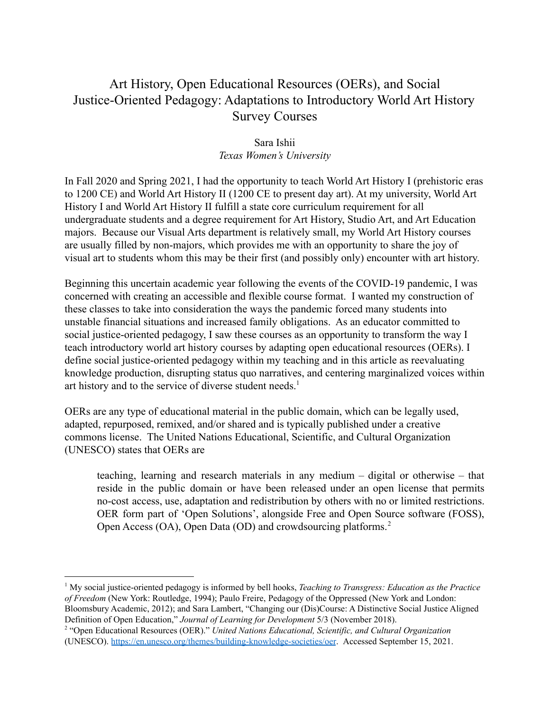#### Art History, Open Educational Resources (OERs), and Social Justice-Oriented Pedagogy: Adaptations to Introductory World Art History Survey Courses

#### Sara Ishii *Texas Women's University*

In Fall 2020 and Spring 2021, I had the opportunity to teach World Art History I (prehistoric eras to 1200 CE) and World Art History II (1200 CE to present day art). At my university, World Art History I and World Art History II fulfill a state core curriculum requirement for all undergraduate students and a degree requirement for Art History, Studio Art, and Art Education majors. Because our Visual Arts department is relatively small, my World Art History courses are usually filled by non-majors, which provides me with an opportunity to share the joy of visual art to students whom this may be their first (and possibly only) encounter with art history.

Beginning this uncertain academic year following the events of the COVID-19 pandemic, I was concerned with creating an accessible and flexible course format. I wanted my construction of these classes to take into consideration the ways the pandemic forced many students into unstable financial situations and increased family obligations. As an educator committed to social justice-oriented pedagogy, I saw these courses as an opportunity to transform the way I teach introductory world art history courses by adapting open educational resources (OERs). I define social justice-oriented pedagogy within my teaching and in this article as reevaluating knowledge production, disrupting status quo narratives, and centering marginalized voices within art history and to the service of diverse student needs.<sup>1</sup>

OERs are any type of educational material in the public domain, which can be legally used, adapted, repurposed, remixed, and/or shared and is typically published under a creative commons license. The United Nations Educational, Scientific, and Cultural Organization (UNESCO) states that OERs are

teaching, learning and research materials in any medium – digital or otherwise – that reside in the public domain or have been released under an open license that permits no-cost access, use, adaptation and redistribution by others with no or limited restrictions. OER form part of 'Open Solutions', alongside Free and Open Source software (FOSS), Open Access (OA), Open Data (OD) and crowdsourcing platforms.<sup>2</sup>

<sup>1</sup> My social justice-oriented pedagogy is informed by bell hooks, *Teaching to Transgress: Education as the Practice of Freedom* (New York: Routledge, 1994); Paulo Freire, Pedagogy of the Oppressed (New York and London: Bloomsbury Academic, 2012); and Sara Lambert, "Changing our (Dis)Course: A Distinctive Social Justice Aligned Definition of Open Education," *Journal of Learning for Development* 5/3 (November 2018).

<sup>2</sup> "Open Educational Resources (OER)." *United Nations Educational, Scientific, and Cultural Organization* (UNESCO). <https://en.unesco.org/themes/building-knowledge-societies/oer>. Accessed September 15, 2021.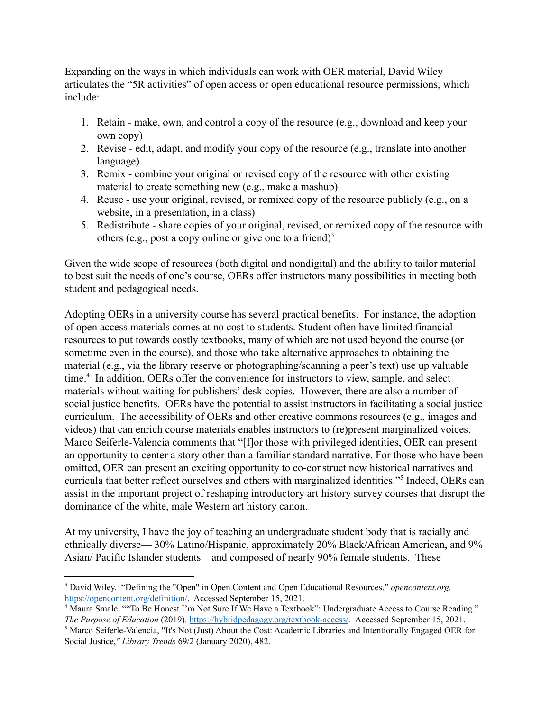Expanding on the ways in which individuals can work with OER material, David Wiley articulates the "5R activities" of open access or open educational resource permissions, which include:

- 1. Retain make, own, and control a copy of the resource (e.g., download and keep your own copy)
- 2. Revise edit, adapt, and modify your copy of the resource (e.g., translate into another language)
- 3. Remix combine your original or revised copy of the resource with other existing material to create something new (e.g., make a mashup)
- 4. Reuse use your original, revised, or remixed copy of the resource publicly (e.g., on a website, in a presentation, in a class)
- 5. Redistribute share copies of your original, revised, or remixed copy of the resource with others (e.g., post a copy online or give one to a friend)<sup>3</sup>

Given the wide scope of resources (both digital and nondigital) and the ability to tailor material to best suit the needs of one's course, OERs offer instructors many possibilities in meeting both student and pedagogical needs.

Adopting OERs in a university course has several practical benefits. For instance, the adoption of open access materials comes at no cost to students. Student often have limited financial resources to put towards costly textbooks, many of which are not used beyond the course (or sometime even in the course), and those who take alternative approaches to obtaining the material (e.g., via the library reserve or photographing/scanning a peer's text) use up valuable  $time<sup>4</sup>$ . In addition, OERs offer the convenience for instructors to view, sample, and select materials without waiting for publishers' desk copies. However, there are also a number of social justice benefits. OERs have the potential to assist instructors in facilitating a social justice curriculum. The accessibility of OERs and other creative commons resources (e.g., images and videos) that can enrich course materials enables instructors to (re)present marginalized voices. Marco Seiferle-Valencia comments that "[f]or those with privileged identities, OER can present an opportunity to center a story other than a familiar standard narrative. For those who have been omitted, OER can present an exciting opportunity to co-construct new historical narratives and curricula that better reflect ourselves and others with marginalized identities."<sup>5</sup> Indeed, OERs can assist in the important project of reshaping introductory art history survey courses that disrupt the dominance of the white, male Western art history canon.

At my university, I have the joy of teaching an undergraduate student body that is racially and ethnically diverse— 30% Latino/Hispanic, approximately 20% Black/African American, and 9% Asian/ Pacific Islander students—and composed of nearly 90% female students. These

<sup>3</sup> David Wiley. "Defining the "Open" in Open Content and Open Educational Resources." *opencontent.org.* [https://opencontent.org/definition/.](https://opencontent.org/definition/) Accessed September 15, 2021.

<sup>4</sup> Maura Smale. ""To Be Honest I'm Not Sure If We Have a Textbook": Undergraduate Access to Course Reading." *The Purpose of Education* (2019). [https://hybridpedagogy.org/textbook-access/.](https://hybridpedagogy.org/textbook-access/) Accessed September 15, 2021.

<sup>&</sup>lt;sup>5</sup> Marco Seiferle-Valencia, "It's Not (Just) About the Cost: Academic Libraries and Intentionally Engaged OER for Social Justice,*" Library Trends* 69/2 (January 2020), 482.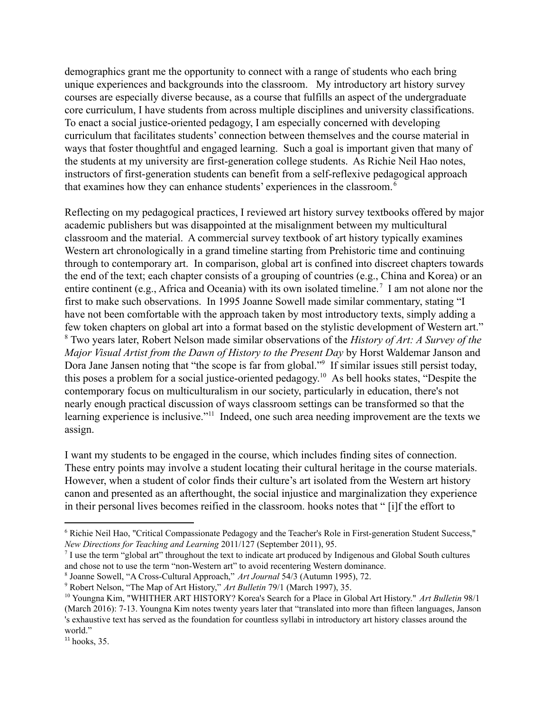demographics grant me the opportunity to connect with a range of students who each bring unique experiences and backgrounds into the classroom. My introductory art history survey courses are especially diverse because, as a course that fulfills an aspect of the undergraduate core curriculum, I have students from across multiple disciplines and university classifications. To enact a social justice-oriented pedagogy, I am especially concerned with developing curriculum that facilitates students' connection between themselves and the course material in ways that foster thoughtful and engaged learning. Such a goal is important given that many of the students at my university are first-generation college students. As Richie Neil Hao notes, instructors of first-generation students can benefit from a self-reflexive pedagogical approach that examines how they can enhance students' experiences in the classroom. <sup>6</sup>

Reflecting on my pedagogical practices, I reviewed art history survey textbooks offered by major academic publishers but was disappointed at the misalignment between my multicultural classroom and the material. A commercial survey textbook of art history typically examines Western art chronologically in a grand timeline starting from Prehistoric time and continuing through to contemporary art. In comparison, global art is confined into discreet chapters towards the end of the text; each chapter consists of a grouping of countries (e.g., China and Korea) or an entire continent (e.g., Africa and Oceania) with its own isolated timeline.<sup>7</sup> I am not alone nor the first to make such observations. In 1995 Joanne Sowell made similar commentary, stating "I have not been comfortable with the approach taken by most introductory texts, simply adding a few token chapters on global art into a format based on the stylistic development of Western art." Two years later, Robert Nelson made similar observations of the *History of Art: A Survey of the* <sup>8</sup> *Major Visual Artist from the Dawn of History to the Present Day* by Horst Waldemar Janson and Dora Jane Jansen noting that "the scope is far from global."<sup>9</sup> If similar issues still persist today, this poses a problem for a social justice-oriented pedagogy.<sup>10</sup> As bell hooks states, "Despite the contemporary focus on multiculturalism in our society, particularly in education, there's not nearly enough practical discussion of ways classroom settings can be transformed so that the learning experience is inclusive."<sup>11</sup> Indeed, one such area needing improvement are the texts we assign.

I want my students to be engaged in the course, which includes finding sites of connection. These entry points may involve a student locating their cultural heritage in the course materials. However, when a student of color finds their culture's art isolated from the Western art history canon and presented as an afterthought, the social injustice and marginalization they experience in their personal lives becomes reified in the classroom. hooks notes that " [i]f the effort to

<sup>6</sup> Richie Neil Hao, "Critical Compassionate Pedagogy and the Teacher's Role in First-generation Student Success," *New Directions for Teaching and Learning* 2011/127 (September 2011), 95.

<sup>&</sup>lt;sup>7</sup> I use the term "global art" throughout the text to indicate art produced by Indigenous and Global South cultures and chose not to use the term "non-Western art" to avoid recentering Western dominance.

<sup>8</sup> Joanne Sowell, "A Cross-Cultural Approach," *Art Journal* 54/3 (Autumn 1995), 72.

<sup>9</sup> Robert Nelson, "The Map of Art History," *Art Bulletin* 79/1 (March 1997), 35.

<sup>10</sup> Youngna Kim, "WHITHER ART HISTORY? Korea's Search for a Place in Global Art History." *Art Bulletin* 98/1 (March 2016): 7-13. Youngna Kim notes twenty years later that "translated into more than fifteen languages, Janson 's exhaustive text has served as the foundation for countless syllabi in introductory art history classes around the world."

 $11$  hooks, 35.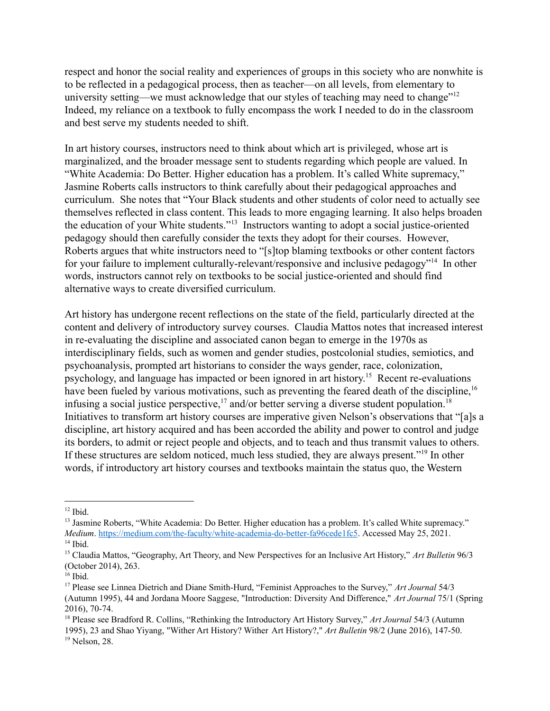respect and honor the social reality and experiences of groups in this society who are nonwhite is to be reflected in a pedagogical process, then as teacher—on all levels, from elementary to university setting—we must acknowledge that our styles of teaching may need to change"<sup>12</sup> Indeed, my reliance on a textbook to fully encompass the work I needed to do in the classroom and best serve my students needed to shift.

In art history courses, instructors need to think about which art is privileged, whose art is marginalized, and the broader message sent to students regarding which people are valued. In "White Academia: Do Better. Higher education has a problem. It's called White supremacy," Jasmine Roberts calls instructors to think carefully about their pedagogical approaches and curriculum. She notes that "Your Black students and other students of color need to actually see themselves reflected in class content. This leads to more engaging learning. It also helps broaden the education of your White students."<sup>13</sup> Instructors wanting to adopt a social justice-oriented pedagogy should then carefully consider the texts they adopt for their courses. However, Roberts argues that white instructors need to "[s]top blaming textbooks or other content factors for your failure to implement culturally-relevant/responsive and inclusive pedagogy<sup> $n_{14}$ </sup> In other words, instructors cannot rely on textbooks to be social justice-oriented and should find alternative ways to create diversified curriculum.

Art history has undergone recent reflections on the state of the field, particularly directed at the content and delivery of introductory survey courses. Claudia Mattos notes that increased interest in re-evaluating the discipline and associated canon began to emerge in the 1970s as interdisciplinary fields, such as women and gender studies, postcolonial studies, semiotics, and psychoanalysis, prompted art historians to consider the ways gender, race, colonization, psychology, and language has impacted or been ignored in art history.<sup>15</sup> Recent re-evaluations have been fueled by various motivations, such as preventing the feared death of the discipline.<sup>16</sup> infusing a social justice perspective,  $\frac{17}{2}$  and/or better serving a diverse student population. <sup>18</sup> Initiatives to transform art history courses are imperative given Nelson's observations that "[a]s a discipline, art history acquired and has been accorded the ability and power to control and judge its borders, to admit or reject people and objects, and to teach and thus transmit values to others. If these structures are seldom noticed, much less studied, they are always present."<sup>19</sup> In other words, if introductory art history courses and textbooks maintain the status quo, the Western

 $12$  Ibid.

<sup>&</sup>lt;sup>14</sup> Ibid. <sup>13</sup> Jasmine Roberts, "White Academia: Do Better. Higher education has a problem. It's called White supremacy." *Medium*. <https://medium.com/the-faculty/white-academia-do-better-fa96cede1fc5>. Accessed May 25, 2021.

<sup>15</sup> Claudia Mattos, "Geography, Art Theory, and New Perspectives for an Inclusive Art History," *Art Bulletin* 96/3 (October 2014), 263.

 $16$  Ibid.

<sup>17</sup> Please see Linnea Dietrich and Diane Smith-Hurd, "Feminist Approaches to the Survey," *Art Journal* 54/3 (Autumn 1995), 44 and Jordana Moore Saggese, "Introduction: Diversity And Difference," *Art Journal* 75/1 (Spring 2016), 70-74.

 $19$  Nelson, 28. <sup>18</sup> Please see Bradford R. Collins, "Rethinking the Introductory Art History Survey," *Art Journal* 54/3 (Autumn 1995), 23 and Shao Yiyang, "Wither Art History? Wither Art History?," *Art Bulletin* 98/2 (June 2016), 147-50.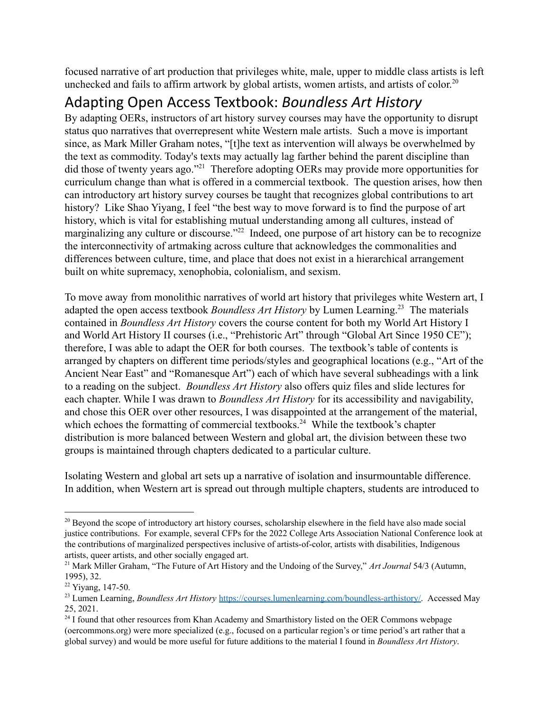focused narrative of art production that privileges white, male, upper to middle class artists is left unchecked and fails to affirm artwork by global artists, women artists, and artists of color.<sup>20</sup>

# Adapting Open Access Textbook: *Boundless Art History*

By adapting OERs, instructors of art history survey courses may have the opportunity to disrupt status quo narratives that overrepresent white Western male artists. Such a move is important since, as Mark Miller Graham notes, "[t]he text as intervention will always be overwhelmed by the text as commodity. Today's texts may actually lag farther behind the parent discipline than did those of twenty years ago."<sup> $21$ </sup> Therefore adopting OERs may provide more opportunities for curriculum change than what is offered in a commercial textbook. The question arises, how then can introductory art history survey courses be taught that recognizes global contributions to art history? Like Shao Yiyang, I feel "the best way to move forward is to find the purpose of art history, which is vital for establishing mutual understanding among all cultures, instead of marginalizing any culture or discourse." $^{22}$  Indeed, one purpose of art history can be to recognize the interconnectivity of artmaking across culture that acknowledges the commonalities and differences between culture, time, and place that does not exist in a hierarchical arrangement built on white supremacy, xenophobia, colonialism, and sexism.

To move away from monolithic narratives of world art history that privileges white Western art, I adapted the open access textbook *Boundless Art History* by Lumen Learning.<sup>23</sup> The materials contained in *Boundless Art History* covers the course content for both my World Art History I and World Art History II courses (i.e., "Prehistoric Art" through "Global Art Since 1950 CE"); therefore, I was able to adapt the OER for both courses. The textbook's table of contents is arranged by chapters on different time periods/styles and geographical locations (e.g., "Art of the Ancient Near East" and "Romanesque Art") each of which have several subheadings with a link to a reading on the subject. *Boundless Art History* also offers quiz files and slide lectures for each chapter. While I was drawn to *Boundless Art History* for its accessibility and navigability, and chose this OER over other resources, I was disappointed at the arrangement of the material, which echoes the formatting of commercial textbooks.<sup>24</sup> While the textbook's chapter distribution is more balanced between Western and global art, the division between these two groups is maintained through chapters dedicated to a particular culture.

Isolating Western and global art sets up a narrative of isolation and insurmountable difference. In addition, when Western art is spread out through multiple chapters, students are introduced to

<sup>&</sup>lt;sup>20</sup> Beyond the scope of introductory art history courses, scholarship elsewhere in the field have also made social justice contributions. For example, several CFPs for the 2022 College Arts Association National Conference look at the contributions of marginalized perspectives inclusive of artists-of-color, artists with disabilities, Indigenous artists, queer artists, and other socially engaged art.

<sup>21</sup> Mark Miller Graham, "The Future of Art History and the Undoing of the Survey," *Art Journal* 54/3 (Autumn, 1995), 32.

<sup>22</sup> Yiyang, 147-50.

<sup>23</sup> Lumen Learning, *Boundless Art History* [https://courses.lumenlearning.com/boundless-arthistory/.](https://courses.lumenlearning.com/boundless-arthistory/) Accessed May 25, 2021.

<sup>&</sup>lt;sup>24</sup> I found that other resources from Khan Academy and Smarthistory listed on the OER Commons webpage (oercommons.org) were more specialized (e.g., focused on a particular region's or time period's art rather that a global survey) and would be more useful for future additions to the material I found in *Boundless Art History*.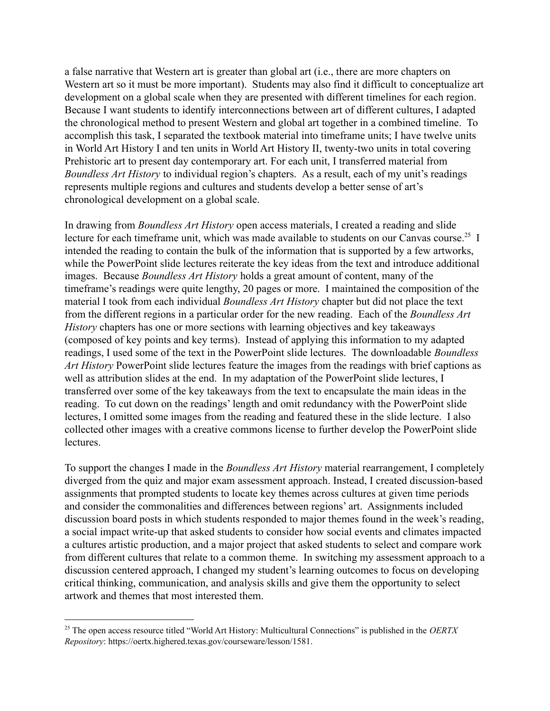a false narrative that Western art is greater than global art (i.e., there are more chapters on Western art so it must be more important). Students may also find it difficult to conceptualize art development on a global scale when they are presented with different timelines for each region. Because I want students to identify interconnections between art of different cultures, I adapted the chronological method to present Western and global art together in a combined timeline. To accomplish this task, I separated the textbook material into timeframe units; I have twelve units in World Art History I and ten units in World Art History II, twenty-two units in total covering Prehistoric art to present day contemporary art. For each unit, I transferred material from *Boundless Art History* to individual region's chapters. As a result, each of my unit's readings represents multiple regions and cultures and students develop a better sense of art's chronological development on a global scale.

In drawing from *Boundless Art History* open access materials, I created a reading and slide lecture for each timeframe unit, which was made available to students on our Canvas course.<sup>25</sup> I intended the reading to contain the bulk of the information that is supported by a few artworks, while the PowerPoint slide lectures reiterate the key ideas from the text and introduce additional images. Because *Boundless Art History* holds a great amount of content, many of the timeframe's readings were quite lengthy, 20 pages or more. I maintained the composition of the material I took from each individual *Boundless Art History* chapter but did not place the text from the different regions in a particular order for the new reading. Each of the *Boundless Art History* chapters has one or more sections with learning objectives and key takeaways (composed of key points and key terms). Instead of applying this information to my adapted readings, I used some of the text in the PowerPoint slide lectures. The downloadable *Boundless Art History* PowerPoint slide lectures feature the images from the readings with brief captions as well as attribution slides at the end. In my adaptation of the PowerPoint slide lectures, I transferred over some of the key takeaways from the text to encapsulate the main ideas in the reading. To cut down on the readings' length and omit redundancy with the PowerPoint slide lectures, I omitted some images from the reading and featured these in the slide lecture. I also collected other images with a creative commons license to further develop the PowerPoint slide lectures.

To support the changes I made in the *Boundless Art History* material rearrangement, I completely diverged from the quiz and major exam assessment approach. Instead, I created discussion-based assignments that prompted students to locate key themes across cultures at given time periods and consider the commonalities and differences between regions' art. Assignments included discussion board posts in which students responded to major themes found in the week's reading, a social impact write-up that asked students to consider how social events and climates impacted a cultures artistic production, and a major project that asked students to select and compare work from different cultures that relate to a common theme. In switching my assessment approach to a discussion centered approach, I changed my student's learning outcomes to focus on developing critical thinking, communication, and analysis skills and give them the opportunity to select artwork and themes that most interested them.

<sup>25</sup> The open access resource titled "World Art History: Multicultural Connections" is published in the *OERTX Repository*: https://oertx.highered.texas.gov/courseware/lesson/1581.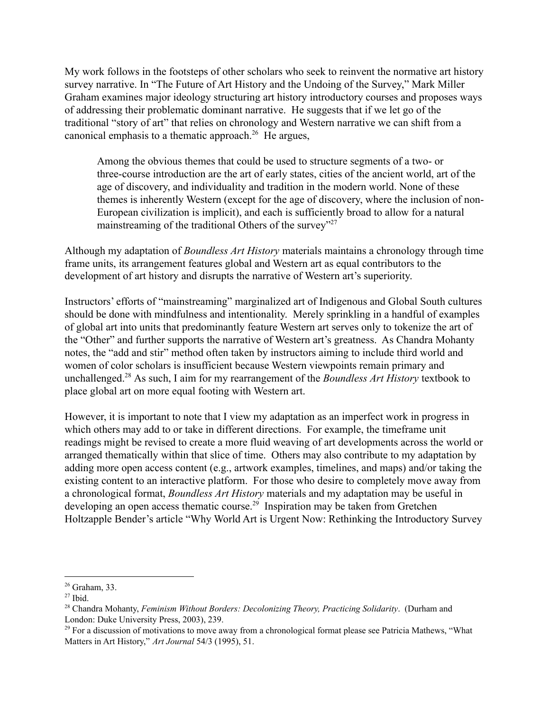My work follows in the footsteps of other scholars who seek to reinvent the normative art history survey narrative. In "The Future of Art History and the Undoing of the Survey," Mark Miller Graham examines major ideology structuring art history introductory courses and proposes ways of addressing their problematic dominant narrative. He suggests that if we let go of the traditional "story of art" that relies on chronology and Western narrative we can shift from a canonical emphasis to a thematic approach.<sup>26</sup> He argues,

Among the obvious themes that could be used to structure segments of a two- or three-course introduction are the art of early states, cities of the ancient world, art of the age of discovery, and individuality and tradition in the modern world. None of these themes is inherently Western (except for the age of discovery, where the inclusion of non-European civilization is implicit), and each is sufficiently broad to allow for a natural mainstreaming of the traditional Others of the survey"<sup>27</sup>

Although my adaptation of *Boundless Art History* materials maintains a chronology through time frame units, its arrangement features global and Western art as equal contributors to the development of art history and disrupts the narrative of Western art's superiority.

Instructors' efforts of "mainstreaming" marginalized art of Indigenous and Global South cultures should be done with mindfulness and intentionality. Merely sprinkling in a handful of examples of global art into units that predominantly feature Western art serves only to tokenize the art of the "Other" and further supports the narrative of Western art's greatness. As Chandra Mohanty notes, the "add and stir" method often taken by instructors aiming to include third world and women of color scholars is insufficient because Western viewpoints remain primary and unchallenged.<sup>28</sup> As such, I aim for my rearrangement of the *Boundless Art History* textbook to place global art on more equal footing with Western art.

However, it is important to note that I view my adaptation as an imperfect work in progress in which others may add to or take in different directions. For example, the timeframe unit readings might be revised to create a more fluid weaving of art developments across the world or arranged thematically within that slice of time. Others may also contribute to my adaptation by adding more open access content (e.g., artwork examples, timelines, and maps) and/or taking the existing content to an interactive platform. For those who desire to completely move away from a chronological format, *Boundless Art History* materials and my adaptation may be useful in developing an open access thematic course.<sup>29</sup> Inspiration may be taken from Gretchen Holtzapple Bender's article "Why World Art is Urgent Now: Rethinking the Introductory Survey

<sup>26</sup> Graham, 33.

 $27$  Ibid.

<sup>28</sup> Chandra Mohanty, *Feminism Without Borders: Decolonizing Theory, Practicing Solidarity*. (Durham and London: Duke University Press, 2003), 239.

 $29$  For a discussion of motivations to move away from a chronological format please see Patricia Mathews, "What Matters in Art History," *Art Journal* 54/3 (1995), 51.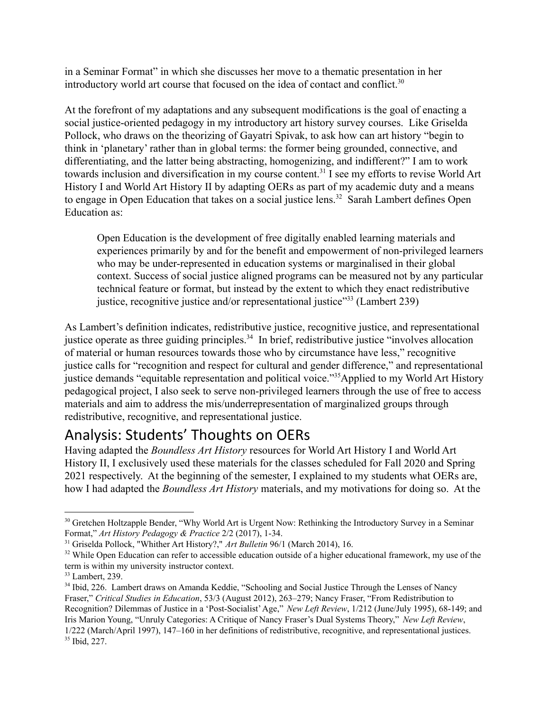in a Seminar Format" in which she discusses her move to a thematic presentation in her introductory world art course that focused on the idea of contact and conflict.<sup>30</sup>

At the forefront of my adaptations and any subsequent modifications is the goal of enacting a social justice-oriented pedagogy in my introductory art history survey courses. Like Griselda Pollock, who draws on the theorizing of Gayatri Spivak, to ask how can art history "begin to think in 'planetary' rather than in global terms: the former being grounded, connective, and differentiating, and the latter being abstracting, homogenizing, and indifferent?" I am to work towards inclusion and diversification in my course content.<sup>31</sup> I see my efforts to revise World Art History I and World Art History II by adapting OERs as part of my academic duty and a means to engage in Open Education that takes on a social justice lens.<sup>32</sup> Sarah Lambert defines Open Education as:

Open Education is the development of free digitally enabled learning materials and experiences primarily by and for the benefit and empowerment of non-privileged learners who may be under-represented in education systems or marginalised in their global context. Success of social justice aligned programs can be measured not by any particular technical feature or format, but instead by the extent to which they enact redistributive justice, recognitive justice and/or representational justice"<sup>33</sup> (Lambert 239)

As Lambert's definition indicates, redistributive justice, recognitive justice, and representational justice operate as three guiding principles.<sup>34</sup> In brief, redistributive justice "involves allocation" of material or human resources towards those who by circumstance have less," recognitive justice calls for "recognition and respect for cultural and gender difference," and representational justice demands "equitable representation and political voice."<sup>35</sup>Applied to my World Art History pedagogical project, I also seek to serve non-privileged learners through the use of free to access materials and aim to address the mis/underrepresentation of marginalized groups through redistributive, recognitive, and representational justice.

# Analysis: Students' Thoughts on OERs

Having adapted the *Boundless Art History* resources for World Art History I and World Art History II, I exclusively used these materials for the classes scheduled for Fall 2020 and Spring 2021 respectively. At the beginning of the semester, I explained to my students what OERs are, how I had adapted the *Boundless Art History* materials, and my motivations for doing so. At the

<sup>&</sup>lt;sup>30</sup> Gretchen Holtzapple Bender, "Why World Art is Urgent Now: Rethinking the Introductory Survey in a Seminar Format," *Art History Pedagogy & Practice* 2/2 (2017), 1-34.

<sup>31</sup> Griselda Pollock, "Whither Art History?," *Art Bulletin* 96/1 (March 2014), 16.

<sup>&</sup>lt;sup>32</sup> While Open Education can refer to accessible education outside of a higher educational framework, my use of the term is within my university instructor context.

<sup>&</sup>lt;sup>33</sup> Lambert, 239.

<sup>35</sup> Ibid, 227. <sup>34</sup> Ibid, 226. Lambert draws on Amanda Keddie, "Schooling and Social Justice Through the Lenses of Nancy Fraser," *Critical Studies in Education*, 53/3 (August 2012), 263–279; Nancy Fraser, "From Redistribution to Recognition? Dilemmas of Justice in a 'Post-Socialist'Age," *New Left Review*, 1/212 (June/July 1995), 68-149; and Iris Marion Young, "Unruly Categories: A Critique of Nancy Fraser's Dual Systems Theory," *New Left Review*, 1/222 (March/April 1997), 147–160 in her definitions of redistributive, recognitive, and representational justices.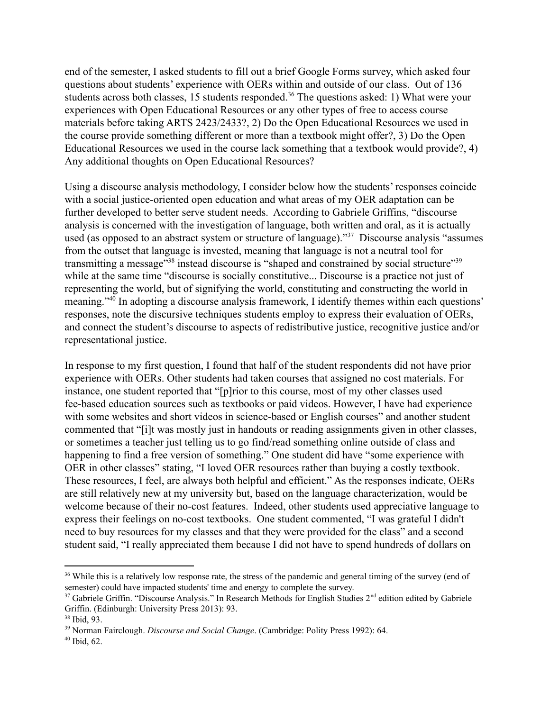end of the semester, I asked students to fill out a brief Google Forms survey, which asked four questions about students' experience with OERs within and outside of our class. Out of 136 students across both classes, 15 students responded.<sup>36</sup> The questions asked: 1) What were your experiences with Open Educational Resources or any other types of free to access course materials before taking ARTS 2423/2433?, 2) Do the Open Educational Resources we used in the course provide something different or more than a textbook might offer?, 3) Do the Open Educational Resources we used in the course lack something that a textbook would provide?, 4) Any additional thoughts on Open Educational Resources?

Using a discourse analysis methodology, I consider below how the students' responses coincide with a social justice-oriented open education and what areas of my OER adaptation can be further developed to better serve student needs. According to Gabriele Griffins, "discourse analysis is concerned with the investigation of language, both written and oral, as it is actually used (as opposed to an abstract system or structure of language)."<sup>37</sup> Discourse analysis "assumes" from the outset that language is invested, meaning that language is not a neutral tool for transmitting a message"<sup>38</sup> instead discourse is "shaped and constrained by social structure"<sup>39</sup> while at the same time "discourse is socially constitutive... Discourse is a practice not just of representing the world, but of signifying the world, constituting and constructing the world in meaning." In adopting a discourse analysis framework, I identify themes within each questions' responses, note the discursive techniques students employ to express their evaluation of OERs, and connect the student's discourse to aspects of redistributive justice, recognitive justice and/or representational justice.

In response to my first question, I found that half of the student respondents did not have prior experience with OERs. Other students had taken courses that assigned no cost materials. For instance, one student reported that "[p]rior to this course, most of my other classes used fee-based education sources such as textbooks or paid videos. However, I have had experience with some websites and short videos in science-based or English courses" and another student commented that "[i]t was mostly just in handouts or reading assignments given in other classes, or sometimes a teacher just telling us to go find/read something online outside of class and happening to find a free version of something." One student did have "some experience with OER in other classes" stating, "I loved OER resources rather than buying a costly textbook. These resources, I feel, are always both helpful and efficient." As the responses indicate, OERs are still relatively new at my university but, based on the language characterization, would be welcome because of their no-cost features. Indeed, other students used appreciative language to express their feelings on no-cost textbooks. One student commented, "I was grateful I didn't need to buy resources for my classes and that they were provided for the class" and a second student said, "I really appreciated them because I did not have to spend hundreds of dollars on

<sup>&</sup>lt;sup>36</sup> While this is a relatively low response rate, the stress of the pandemic and general timing of the survey (end of semester) could have impacted students' time and energy to complete the survey.

<sup>&</sup>lt;sup>37</sup> Gabriele Griffin. "Discourse Analysis." In Research Methods for English Studies  $2<sup>nd</sup>$  edition edited by Gabriele Griffin. (Edinburgh: University Press 2013): 93.

<sup>38</sup> Ibid, 93.

<sup>39</sup> Norman Fairclough. *Discourse and Social Change*. (Cambridge: Polity Press 1992): 64.

 $40$  Ibid, 62.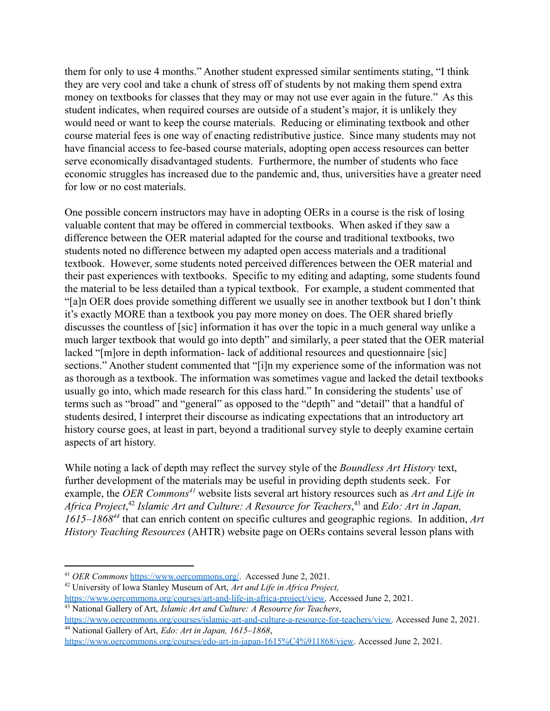them for only to use 4 months." Another student expressed similar sentiments stating, "I think they are very cool and take a chunk of stress off of students by not making them spend extra money on textbooks for classes that they may or may not use ever again in the future." As this student indicates, when required courses are outside of a student's major, it is unlikely they would need or want to keep the course materials. Reducing or eliminating textbook and other course material fees is one way of enacting redistributive justice. Since many students may not have financial access to fee-based course materials, adopting open access resources can better serve economically disadvantaged students. Furthermore, the number of students who face economic struggles has increased due to the pandemic and, thus, universities have a greater need for low or no cost materials.

One possible concern instructors may have in adopting OERs in a course is the risk of losing valuable content that may be offered in commercial textbooks. When asked if they saw a difference between the OER material adapted for the course and traditional textbooks, two students noted no difference between my adapted open access materials and a traditional textbook. However, some students noted perceived differences between the OER material and their past experiences with textbooks. Specific to my editing and adapting, some students found the material to be less detailed than a typical textbook. For example, a student commented that "[a]n OER does provide something different we usually see in another textbook but I don't think it's exactly MORE than a textbook you pay more money on does. The OER shared briefly discusses the countless of [sic] information it has over the topic in a much general way unlike a much larger textbook that would go into depth" and similarly, a peer stated that the OER material lacked "[m]ore in depth information- lack of additional resources and questionnaire [sic] sections." Another student commented that "[i]n my experience some of the information was not as thorough as a textbook. The information was sometimes vague and lacked the detail textbooks usually go into, which made research for this class hard." In considering the students' use of terms such as "broad" and "general" as opposed to the "depth" and "detail" that a handful of students desired, I interpret their discourse as indicating expectations that an introductory art history course goes, at least in part, beyond a traditional survey style to deeply examine certain aspects of art history.

While noting a lack of depth may reflect the survey style of the *Boundless Art History* text, further development of the materials may be useful in providing depth students seek. For example, the *OER Commons<sup>41</sup>* website lists several art history resources such as *Art and Life in Africa Project*,<sup>42</sup> *Islamic Art and Culture: A Resource for Teachers*,<sup>43</sup> and *Edo: Art in Japan, 1615–1868* that can enrich content on specific cultures and geographic regions. In addition, *Art <sup>44</sup> History Teaching Resources* (AHTR) website page on OERs contains several lesson plans with

<sup>41</sup> *OER Commons* <https://www.oercommons.org/>. Accessed June 2, 2021.

<sup>42</sup> University of Iowa Stanley Museum of Art, *Art and Life in Africa Project,*

[https://www.oercommons.org/courses/art-and-life-in-africa-project/view.](https://www.oercommons.org/courses/art-and-life-in-africa-project/view) Accessed June 2, 2021.

<sup>43</sup> National Gallery of Art, *Islamic Art and Culture: A Resource for Teachers*,

<sup>44</sup> National Gallery of Art, *Edo: Art in Japan, 1615–1868*, [https://www.oercommons.org/courses/islamic-art-and-culture-a-resource-for-teachers/view.](https://www.oercommons.org/courses/islamic-art-and-culture-a-resource-for-teachers/view) Accessed June 2, 2021.

[https://www.oercommons.org/courses/edo-art-in-japan-1615%C4%911868/view.](https://www.oercommons.org/courses/edo-art-in-japan-1615%C4%911868/view) Accessed June 2, 2021.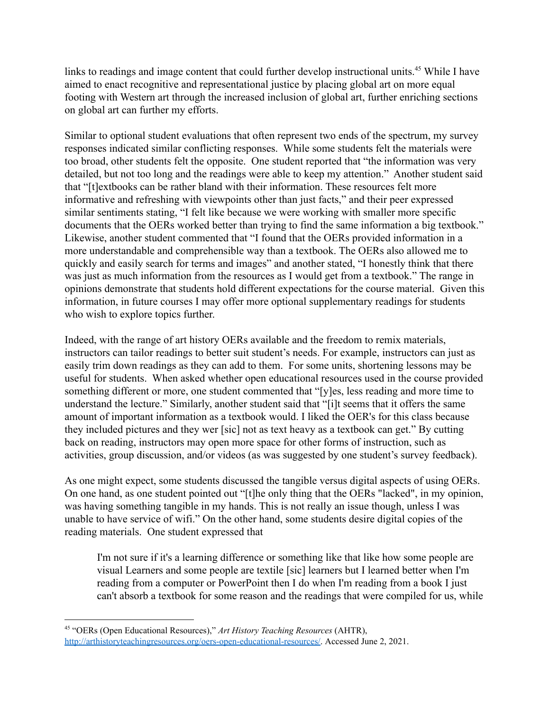links to readings and image content that could further develop instructional units.<sup>45</sup> While I have aimed to enact recognitive and representational justice by placing global art on more equal footing with Western art through the increased inclusion of global art, further enriching sections on global art can further my efforts.

Similar to optional student evaluations that often represent two ends of the spectrum, my survey responses indicated similar conflicting responses. While some students felt the materials were too broad, other students felt the opposite. One student reported that "the information was very detailed, but not too long and the readings were able to keep my attention." Another student said that "[t]extbooks can be rather bland with their information. These resources felt more informative and refreshing with viewpoints other than just facts," and their peer expressed similar sentiments stating, "I felt like because we were working with smaller more specific documents that the OERs worked better than trying to find the same information a big textbook." Likewise, another student commented that "I found that the OERs provided information in a more understandable and comprehensible way than a textbook. The OERs also allowed me to quickly and easily search for terms and images" and another stated, "I honestly think that there was just as much information from the resources as I would get from a textbook." The range in opinions demonstrate that students hold different expectations for the course material. Given this information, in future courses I may offer more optional supplementary readings for students who wish to explore topics further.

Indeed, with the range of art history OERs available and the freedom to remix materials, instructors can tailor readings to better suit student's needs. For example, instructors can just as easily trim down readings as they can add to them. For some units, shortening lessons may be useful for students. When asked whether open educational resources used in the course provided something different or more, one student commented that "[y]es, less reading and more time to understand the lecture." Similarly, another student said that "[i]t seems that it offers the same amount of important information as a textbook would. I liked the OER's for this class because they included pictures and they wer [sic] not as text heavy as a textbook can get." By cutting back on reading, instructors may open more space for other forms of instruction, such as activities, group discussion, and/or videos (as was suggested by one student's survey feedback).

As one might expect, some students discussed the tangible versus digital aspects of using OERs. On one hand, as one student pointed out "[t]he only thing that the OERs "lacked", in my opinion, was having something tangible in my hands. This is not really an issue though, unless I was unable to have service of wifi." On the other hand, some students desire digital copies of the reading materials. One student expressed that

I'm not sure if it's a learning difference or something like that like how some people are visual Learners and some people are textile [sic] learners but I learned better when I'm reading from a computer or PowerPoint then I do when I'm reading from a book I just can't absorb a textbook for some reason and the readings that were compiled for us, while

<sup>45</sup> "OERs (Open Educational Resources)," *Art History Teaching Resources* (AHTR), [http://arthistoryteachingresources.org/oers-open-educational-resources/.](http://arthistoryteachingresources.org/oers-open-educational-resources/) Accessed June 2, 2021.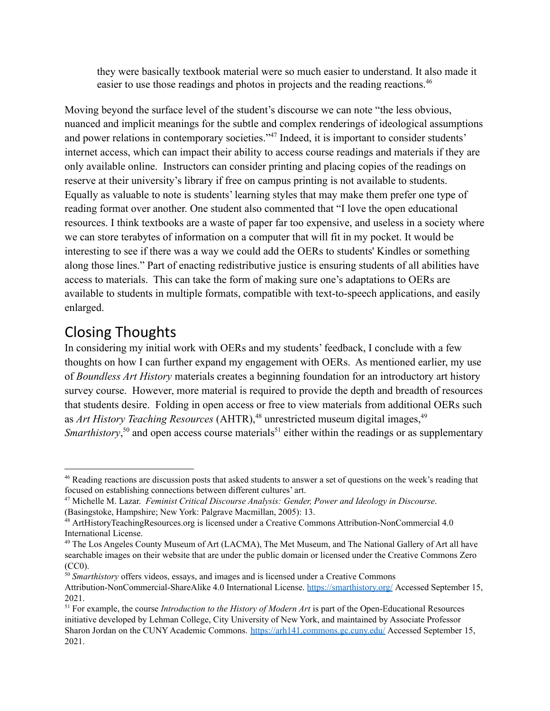they were basically textbook material were so much easier to understand. It also made it easier to use those readings and photos in projects and the reading reactions.<sup>46</sup>

Moving beyond the surface level of the student's discourse we can note "the less obvious, nuanced and implicit meanings for the subtle and complex renderings of ideological assumptions and power relations in contemporary societies."<sup>47</sup> Indeed, it is important to consider students' internet access, which can impact their ability to access course readings and materials if they are only available online. Instructors can consider printing and placing copies of the readings on reserve at their university's library if free on campus printing is not available to students. Equally as valuable to note is students' learning styles that may make them prefer one type of reading format over another. One student also commented that "I love the open educational resources. I think textbooks are a waste of paper far too expensive, and useless in a society where we can store terabytes of information on a computer that will fit in my pocket. It would be interesting to see if there was a way we could add the OERs to students' Kindles or something along those lines." Part of enacting redistributive justice is ensuring students of all abilities have access to materials. This can take the form of making sure one's adaptations to OERs are available to students in multiple formats, compatible with text-to-speech applications, and easily enlarged.

## Closing Thoughts

In considering my initial work with OERs and my students' feedback, I conclude with a few thoughts on how I can further expand my engagement with OERs. As mentioned earlier, my use of *Boundless Art History* materials creates a beginning foundation for an introductory art history survey course. However, more material is required to provide the depth and breadth of resources that students desire. Folding in open access or free to view materials from additional OERs such as *Art History Teaching Resources* (AHTR),<sup>48</sup> unrestricted museum digital images,<sup>49</sup> *Smarthistory*,<sup>50</sup> and open access course materials<sup>51</sup> either within the readings or as supplementary

<sup>46</sup> Reading reactions are discussion posts that asked students to answer a set of questions on the week's reading that focused on establishing connections between different cultures' art.

<sup>47</sup> Michelle M. Lazar. *Feminist Critical Discourse Analysis: Gender, Power and Ideology in Discourse*. (Basingstoke, Hampshire; New York: Palgrave Macmillan, 2005): 13.

<sup>48</sup> ArtHistoryTeachingResources.org is licensed under a Creative Commons Attribution-NonCommercial 4.0 International License.

<sup>&</sup>lt;sup>49</sup> The Los Angeles County Museum of Art (LACMA), The Met Museum, and The National Gallery of Art all have searchable images on their website that are under the public domain or licensed under the Creative Commons Zero (CC0).

<sup>&</sup>lt;sup>50</sup> *Smarthistory* offers videos, essays, and images and is licensed under a Creative Commons Attribution-NonCommercial-ShareAlike 4.0 International License. <https://smarthistory.org/> Accessed September 15, 2021.

<sup>51</sup> For example, the course *Introduction to the History of Modern Art* is part of the Open-Educational Resources initiative developed by Lehman College, City University of New York, and maintained by Associate Professor Sharon Jordan on the CUNY Academic Commons. <https://arh141.commons.gc.cuny.edu/> Accessed September 15, 2021.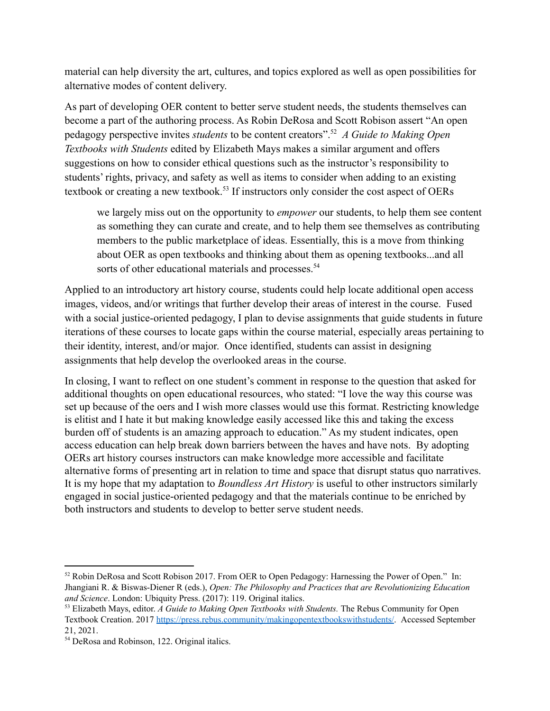material can help diversity the art, cultures, and topics explored as well as open possibilities for alternative modes of content delivery.

As part of developing OER content to better serve student needs, the students themselves can become a part of the authoring process. As Robin DeRosa and Scott Robison assert "An open pedagogy perspective invites *students* to be content creators". *A Guide to Making Open* <sup>52</sup> *Textbooks with Students* edited by Elizabeth Mays makes a similar argument and offers suggestions on how to consider ethical questions such as the instructor's responsibility to students' rights, privacy, and safety as well as items to consider when adding to an existing textbook or creating a new textbook.<sup>53</sup> If instructors only consider the cost aspect of OERs

we largely miss out on the opportunity to *empower* our students, to help them see content as something they can curate and create, and to help them see themselves as contributing members to the public marketplace of ideas. Essentially, this is a move from thinking about OER as open textbooks and thinking about them as opening textbooks...and all sorts of other educational materials and processes.<sup>54</sup>

Applied to an introductory art history course, students could help locate additional open access images, videos, and/or writings that further develop their areas of interest in the course. Fused with a social justice-oriented pedagogy, I plan to devise assignments that guide students in future iterations of these courses to locate gaps within the course material, especially areas pertaining to their identity, interest, and/or major. Once identified, students can assist in designing assignments that help develop the overlooked areas in the course.

In closing, I want to reflect on one student's comment in response to the question that asked for additional thoughts on open educational resources, who stated: "I love the way this course was set up because of the oers and I wish more classes would use this format. Restricting knowledge is elitist and I hate it but making knowledge easily accessed like this and taking the excess burden off of students is an amazing approach to education." As my student indicates, open access education can help break down barriers between the haves and have nots. By adopting OERs art history courses instructors can make knowledge more accessible and facilitate alternative forms of presenting art in relation to time and space that disrupt status quo narratives. It is my hope that my adaptation to *Boundless Art History* is useful to other instructors similarly engaged in social justice-oriented pedagogy and that the materials continue to be enriched by both instructors and students to develop to better serve student needs.

<sup>52</sup> Robin DeRosa and Scott Robison 2017. From OER to Open Pedagogy: Harnessing the Power of Open." In: Jhangiani R. & Biswas-Diener R (eds.), *Open: The Philosophy and Practices that are Revolutionizing Education and Science*. London: Ubiquity Press. (2017): 119. Original italics.

<sup>53</sup> Elizabeth Mays, editor. *A Guide to Making Open Textbooks with Students.* The Rebus Community for Open Textbook Creation. 2017 [https://press.rebus.community/makingopentextbookswithstudents/.](https://press.rebus.community/makingopentextbookswithstudents/) Accessed September 21, 2021.

<sup>54</sup> DeRosa and Robinson, 122. Original italics.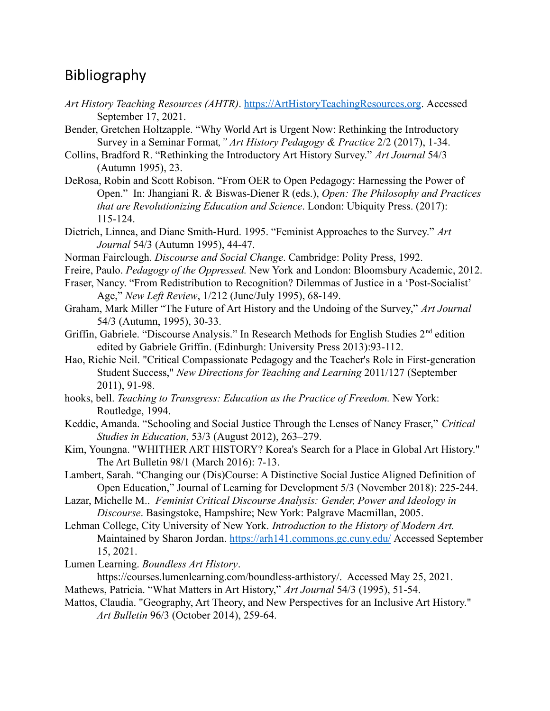### Bibliography

- *Art History Teaching Resources (AHTR)*. [https://ArtHistoryTeachingResources.org.](https://arthistoryteachingresources.org) Accessed September 17, 2021.
- Bender, Gretchen Holtzapple. "Why World Art is Urgent Now: Rethinking the Introductory Survey in a Seminar Format*," Art History Pedagogy & Practice* 2/2 (2017), 1-34.
- Collins, Bradford R. "Rethinking the Introductory Art History Survey." *Art Journal* 54/3 (Autumn 1995), 23.
- DeRosa, Robin and Scott Robison. "From OER to Open Pedagogy: Harnessing the Power of Open." In: Jhangiani R. & Biswas-Diener R (eds.), *Open: The Philosophy and Practices that are Revolutionizing Education and Science*. London: Ubiquity Press. (2017): 115-124.
- Dietrich, Linnea, and Diane Smith-Hurd. 1995. "Feminist Approaches to the Survey." *Art Journal* 54/3 (Autumn 1995), 44-47.
- Norman Fairclough. *Discourse and Social Change*. Cambridge: Polity Press, 1992.
- Freire, Paulo. *Pedagogy of the Oppressed.* New York and London: Bloomsbury Academic, 2012.
- Fraser, Nancy. "From Redistribution to Recognition? Dilemmas of Justice in a 'Post-Socialist' Age," *New Left Review*, 1/212 (June/July 1995), 68-149.
- Graham, Mark Miller "The Future of Art History and the Undoing of the Survey," *Art Journal* 54/3 (Autumn, 1995), 30-33.
- Griffin, Gabriele. "Discourse Analysis." In Research Methods for English Studies 2<sup>nd</sup> edition edited by Gabriele Griffin. (Edinburgh: University Press 2013):93-112.
- Hao, Richie Neil. "Critical Compassionate Pedagogy and the Teacher's Role in First-generation Student Success," *New Directions for Teaching and Learning* 2011/127 (September 2011), 91-98.
- hooks, bell. *Teaching to Transgress: Education as the Practice of Freedom.* New York: Routledge, 1994.
- Keddie, Amanda. "Schooling and Social Justice Through the Lenses of Nancy Fraser," *Critical Studies in Education*, 53/3 (August 2012), 263–279.
- Kim, Youngna. "WHITHER ART HISTORY? Korea's Search for a Place in Global Art History." The Art Bulletin 98/1 (March 2016): 7-13.
- Lambert, Sarah. "Changing our (Dis)Course: A Distinctive Social Justice Aligned Definition of Open Education," Journal of Learning for Development 5/3 (November 2018): 225-244.
- Lazar, Michelle M.. *Feminist Critical Discourse Analysis: Gender, Power and Ideology in Discourse*. Basingstoke, Hampshire; New York: Palgrave Macmillan, 2005.
- Lehman College, City University of New York. *Introduction to the History of Modern Art.* Maintained by Sharon Jordan. <https://arh141.commons.gc.cuny.edu/> Accessed September 15, 2021.
- Lumen Learning. *Boundless Art History*.
- https://courses.lumenlearning.com/boundless-arthistory/. Accessed May 25, 2021. Mathews, Patricia. "What Matters in Art History," *Art Journal* 54/3 (1995), 51-54.
- Mattos, Claudia. "Geography, Art Theory, and New Perspectives for an Inclusive Art History." *Art Bulletin* 96/3 (October 2014), 259-64.